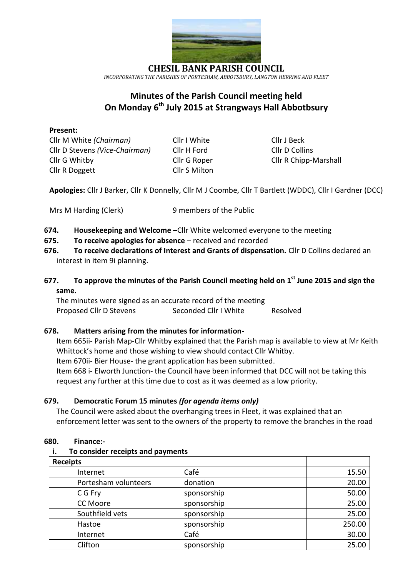

**CHESIL BANK PARISH COUNCIL** *INCORPORATING THE PARISHES OF PORTESHAM, ABBOTSBURY, LANGTON HERRING AND FLEET*

# **Minutes of the Parish Council meeting held On Monday 6 th July 2015 at Strangways Hall Abbotbsury**

### **Present:**

Cllr M White *(Chairman)* Cllr I White Cllr J Beck Cllr D Stevens *(Vice-Chairman)* Cllr H Ford Cllr D Collins Cllr G Whitby Cllr G Roper Cllr R Chipp-Marshall Cllr R Doggett Cllr S Milton

**Apologies:** Cllr J Barker, Cllr K Donnelly, Cllr M J Coombe, Cllr T Bartlett (WDDC), Cllr I Gardner (DCC)

- **674. Housekeeping and Welcome –**Cllr White welcomed everyone to the meeting
- **675. To receive apologies for absence**  received and recorded
- **676. To receive declarations of Interest and Grants of dispensation.** Cllr D Collins declared an interest in item 9i planning.
- **677. To approve the minutes of the Parish Council meeting held on 1 st June 2015 and sign the same.**

The minutes were signed as an accurate record of the meeting Proposed Cllr D Stevens Seconded Cllr I White Resolved

### **678. Matters arising from the minutes for information-**

Item 665ii- Parish Map-Cllr Whitby explained that the Parish map is available to view at Mr Keith Whittock's home and those wishing to view should contact Cllr Whitby. Item 670ii- Bier House- the grant application has been submitted. Item 668 i- Elworth Junction- the Council have been informed that DCC will not be taking this request any further at this time due to cost as it was deemed as a low priority.

### **679. Democratic Forum 15 minutes** *(for agenda items only)*

The Council were asked about the overhanging trees in Fleet, it was explained that an enforcement letter was sent to the owners of the property to remove the branches in the road

### **680. Finance:-**

### **i. To consider receipts and payments**

| <b>Receipts</b>      |             |        |
|----------------------|-------------|--------|
| Internet             | Café        | 15.50  |
| Portesham volunteers | donation    | 20.00  |
| C G Fry              | sponsorship | 50.00  |
| CC Moore             | sponsorship | 25.00  |
| Southfield vets      | sponsorship | 25.00  |
| Hastoe               | sponsorship | 250.00 |
| Internet             | Café        | 30.00  |
| Clifton              | sponsorship | 25.00  |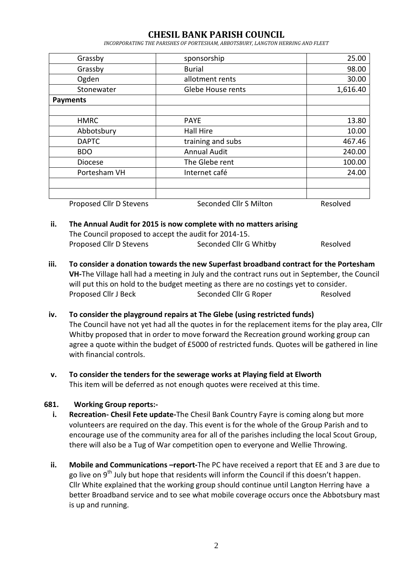# **CHESIL BANK PARISH COUNCIL**

*INCORPORATING THE PARISHES OF PORTESHAM, ABBOTSBURY, LANGTON HERRING AND FLEET*

| Grassby                 | sponsorship            | 25.00    |
|-------------------------|------------------------|----------|
| Grassby                 | <b>Burial</b>          | 98.00    |
| Ogden                   | allotment rents        | 30.00    |
| Stonewater              | Glebe House rents      | 1,616.40 |
| <b>Payments</b>         |                        |          |
|                         |                        |          |
| <b>HMRC</b>             | <b>PAYE</b>            | 13.80    |
| Abbotsbury              | <b>Hall Hire</b>       | 10.00    |
| <b>DAPTC</b>            | training and subs      |          |
| <b>BDO</b>              | <b>Annual Audit</b>    |          |
| <b>Diocese</b>          | The Glebe rent         | 100.00   |
| Portesham VH            | Internet café          | 24.00    |
|                         |                        |          |
|                         |                        |          |
| Proposed Cllr D Stevens | Seconded Cllr S Milton | Resolved |

### **ii. The Annual Audit for 2015 is now complete with no matters arising** The Council proposed to accept the audit for 2014-15. Proposed Cllr D Stevens Seconded Cllr G Whitby Resolved

**iii. To consider a donation towards the new Superfast broadband contract for the Portesham VH-**The Village hall had a meeting in July and the contract runs out in September, the Council will put this on hold to the budget meeting as there are no costings yet to consider. Proposed Cllr J Beck Seconded Cllr G Roper Resolved

### **iv. To consider the playground repairs at The Glebe (using restricted funds)**

The Council have not yet had all the quotes in for the replacement items for the play area, Cllr Whitby proposed that in order to move forward the Recreation ground working group can agree a quote within the budget of £5000 of restricted funds. Quotes will be gathered in line with financial controls.

**v. To consider the tenders for the sewerage works at Playing field at Elworth** This item will be deferred as not enough quotes were received at this time.

### **681. Working Group reports:-**

- **i. Recreation- Chesil Fete update-**The Chesil Bank Country Fayre is coming along but more volunteers are required on the day. This event is for the whole of the Group Parish and to encourage use of the community area for all of the parishes including the local Scout Group, there will also be a Tug of War competition open to everyone and Wellie Throwing.
- **ii. Mobile and Communications –report-**The PC have received a report that EE and 3 are due to go live on 9<sup>th</sup> July but hope that residents will inform the Council if this doesn't happen. Cllr White explained that the working group should continue until Langton Herring have a better Broadband service and to see what mobile coverage occurs once the Abbotsbury mast is up and running.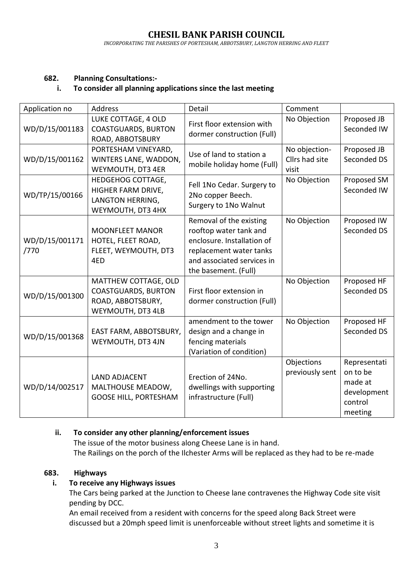### **682. Planning Consultations:-**

### **i. To consider all planning applications since the last meeting**

| Application no         | Address                                                                                      | Detail                                                                                                                                                           | Comment                                  |                                                                          |
|------------------------|----------------------------------------------------------------------------------------------|------------------------------------------------------------------------------------------------------------------------------------------------------------------|------------------------------------------|--------------------------------------------------------------------------|
| WD/D/15/001183         | LUKE COTTAGE, 4 OLD<br><b>COASTGUARDS, BURTON</b><br>ROAD, ABBOTSBURY                        | First floor extension with<br>dormer construction (Full)                                                                                                         | No Objection                             | Proposed JB<br>Seconded IW                                               |
| WD/D/15/001162         | PORTESHAM VINEYARD,<br>WINTERS LANE, WADDON,<br>WEYMOUTH, DT3 4ER                            | Use of land to station a<br>mobile holiday home (Full)                                                                                                           | No objection-<br>Cllrs had site<br>visit | Proposed JB<br>Seconded DS                                               |
| WD/TP/15/00166         | HEDGEHOG COTTAGE,<br>HIGHER FARM DRIVE,<br>LANGTON HERRING,<br>WEYMOUTH, DT3 4HX             | Fell 1No Cedar. Surgery to<br>2No copper Beech.<br>Surgery to 1No Walnut                                                                                         | No Objection                             | Proposed SM<br>Seconded IW                                               |
| WD/D/15/001171<br>/770 | <b>MOONFLEET MANOR</b><br>HOTEL, FLEET ROAD,<br>FLEET, WEYMOUTH, DT3<br>4ED                  | Removal of the existing<br>rooftop water tank and<br>enclosure. Installation of<br>replacement water tanks<br>and associated services in<br>the basement. (Full) | No Objection                             | Proposed IW<br>Seconded DS                                               |
| WD/D/15/001300         | MATTHEW COTTAGE, OLD<br><b>COASTGUARDS, BURTON</b><br>ROAD, ABBOTSBURY,<br>WEYMOUTH, DT3 4LB | First floor extension in<br>dormer construction (Full)                                                                                                           | No Objection                             | Proposed HF<br>Seconded DS                                               |
| WD/D/15/001368         | EAST FARM, ABBOTSBURY,<br>WEYMOUTH, DT3 4JN                                                  | amendment to the tower<br>design and a change in<br>fencing materials<br>(Variation of condition)                                                                | No Objection                             | Proposed HF<br>Seconded DS                                               |
| WD/D/14/002517         | <b>LAND ADJACENT</b><br>MALTHOUSE MEADOW,<br><b>GOOSE HILL, PORTESHAM</b>                    | Erection of 24No.<br>dwellings with supporting<br>infrastructure (Full)                                                                                          | Objections<br>previously sent            | Representati<br>on to be<br>made at<br>development<br>control<br>meeting |

### **ii. To consider any other planning/enforcement issues**

The issue of the motor business along Cheese Lane is in hand. The Railings on the porch of the Ilchester Arms will be replaced as they had to be re-made

### **683. Highways**

### **i. To receive any Highways issues**

The Cars being parked at the Junction to Cheese lane contravenes the Highway Code site visit pending by DCC.

An email received from a resident with concerns for the speed along Back Street were discussed but a 20mph speed limit is unenforceable without street lights and sometime it is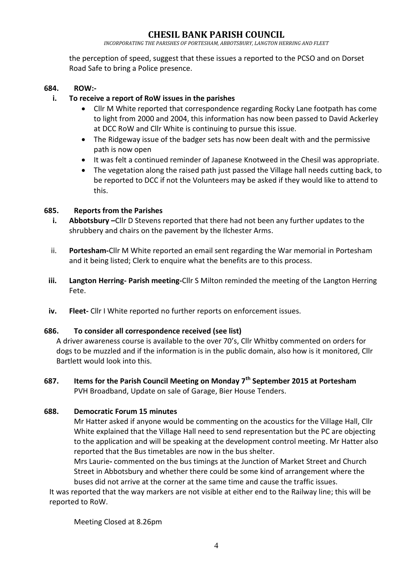## **CHESIL BANK PARISH COUNCIL**

*INCORPORATING THE PARISHES OF PORTESHAM, ABBOTSBURY, LANGTON HERRING AND FLEET*

the perception of speed, suggest that these issues a reported to the PCSO and on Dorset Road Safe to bring a Police presence.

#### **684. ROW:-**

### **i. To receive a report of RoW issues in the parishes**

- Cllr M White reported that correspondence regarding Rocky Lane footpath has come to light from 2000 and 2004, this information has now been passed to David Ackerley at DCC RoW and Cllr White is continuing to pursue this issue.
- The Ridgeway issue of the badger sets has now been dealt with and the permissive path is now open
- It was felt a continued reminder of Japanese Knotweed in the Chesil was appropriate.
- The vegetation along the raised path just passed the Village hall needs cutting back, to be reported to DCC if not the Volunteers may be asked if they would like to attend to this.

#### **685. Reports from the Parishes**

- **i. Abbotsbury –**Cllr D Stevens reported that there had not been any further updates to the shrubbery and chairs on the pavement by the Ilchester Arms.
- ii. **Portesham-**Cllr M White reported an email sent regarding the War memorial in Portesham and it being listed; Clerk to enquire what the benefits are to this process.
- **iii. Langton Herring- Parish meeting-**Cllr S Milton reminded the meeting of the Langton Herring Fete.
- **iv. Fleet-** Cllr I White reported no further reports on enforcement issues.

#### **686. To consider all correspondence received (see list)**

A driver awareness course is available to the over 70's, Cllr Whitby commented on orders for dogs to be muzzled and if the information is in the public domain, also how is it monitored, Cllr Bartlett would look into this.

**687. Items for the Parish Council Meeting on Monday 7th September 2015 at Portesham** PVH Broadband, Update on sale of Garage, Bier House Tenders.

### **688. Democratic Forum 15 minutes**

Mr Hatter asked if anyone would be commenting on the acoustics for the Village Hall, Cllr White explained that the Village Hall need to send representation but the PC are objecting to the application and will be speaking at the development control meeting. Mr Hatter also reported that the Bus timetables are now in the bus shelter.

Mrs Laurie**-** commented on the bus timings at the Junction of Market Street and Church Street in Abbotsbury and whether there could be some kind of arrangement where the buses did not arrive at the corner at the same time and cause the traffic issues.

It was reported that the way markers are not visible at either end to the Railway line; this will be reported to RoW.

Meeting Closed at 8.26pm